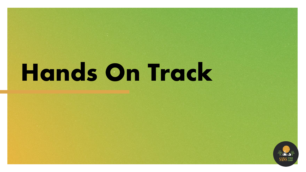# **Hands On Track**

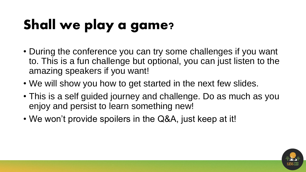## Shall we play a game?

- During the conference you can try some challenges if you want to. This is a fun challenge but optional, you can just listen to the amazing speakers if you want!
- We will show you how to get started in the next few slides.
- This is a self guided journey and challenge. Do as much as you enjoy and persist to learn something new!
- We won't provide spoilers in the Q&A, just keep at it!

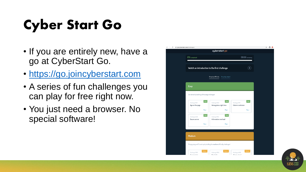### Cyber Start Go

- If you are entirely new, have a go at CyberStart Go.
- [https://go.joincyberstart.com](https://go.joincyberstart.com/)
- A series of fun challenges you can play for free right now.
- You just need a browser. No special software!

| go.cyberstart.com/challenges/<br>C                                                                                                           | $\hat{P}$ $\Theta$ $\bullet$ |
|----------------------------------------------------------------------------------------------------------------------------------------------|------------------------------|
| cyberstart go                                                                                                                                |                              |
| 59:56 remaining<br>0% completed!                                                                                                             |                              |
| Watch an introduction to the first challenge                                                                                                 |                              |
| Group by difficulty<br>Group by subject                                                                                                      |                              |
| <b>Easy</b>                                                                                                                                  |                              |
| Get started by tackling all the easy challenges!                                                                                             |                              |
| Easy<br>Easy<br>Easy<br>Challenge OS02<br>Challenge OS01<br>Challenge CR01<br>Wrong place, right time<br>Column confusion<br>Age on the page |                              |
| Play ><br>Play ><br>Play ><br>Easy<br>Easy<br>Challenge WA01<br>Challenge FR01<br>Information overload<br>Secure server                      |                              |
| Play ><br>Play >                                                                                                                             |                              |
| Medium                                                                                                                                       |                              |
| Things going well? Level up by tackling the medium difficulty challenges!                                                                    |                              |
| Medium<br>Medium<br>Medium<br>Challenge WA02<br>Challenge CR02<br>Challenge CR03<br>Dina laak<br>Einwarmslake<br>التمعلم مستمالا             |                              |

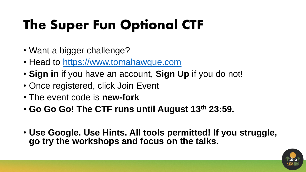### The Super Fun Optional CTF

- Want a bigger challenge?
- Head to [https://www.tomahawque.com](https://www.tomahawque.com/)
- **Sign in** if you have an account, **Sign Up** if you do not!
- Once registered, click Join Event
- The event code is **new-fork**
- **Go Go Go! The CTF runs until August 13th 23:59.**
- **Use Google. Use Hints. All tools permitted! If you struggle, go try the workshops and focus on the talks.**